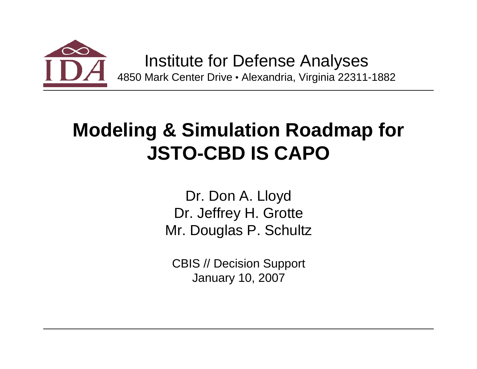

Institute for Defense Analyses 4850 Mark Center Drive · Alexandria, Virginia 22311-1882

## **Modeling & Simulation Roadmap for JSTO-CBD IS CAPO**

Dr. Don A. Lloyd Dr. Jeffrey H. Grotte Mr. Douglas P. Schultz

CBIS // Decision Support January 10, 2007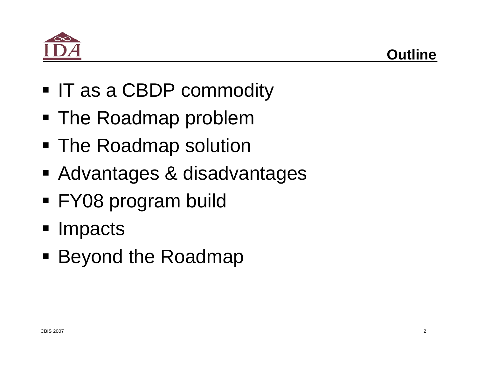

- IT as a CBDP commodity
- The Roadmap problem
- The Roadmap solution
- Advantages & disadvantages
- FY08 program build
- **Impacts**
- **Beyond the Roadmap**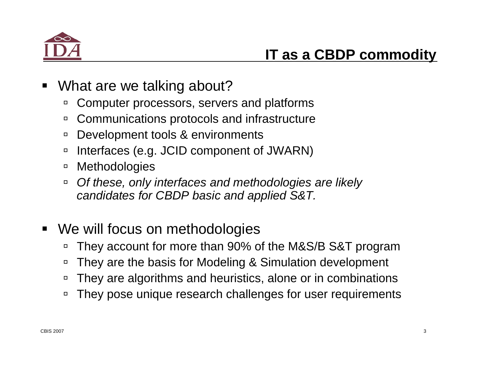

- $\blacksquare$  What are we talking about?
	- $\Box$ Computer processors, servers and platforms
	- $\Box$ Communications protocols and infrastructure
	- $\Box$ Development tools & environments
	- $\Box$ Interfaces (e.g. JCID component of JWARN)
	- $\Box$ **Methodologies**
	- $\Box$  *Of these, only interfaces and methodologies are likely candidates for CBDP basic and applied S&T.*
- **We will focus on methodologies** 
	- $\Box$ They account for more than 90% of the M&S/B S&T program
	- $\Box$ They are the basis for Modeling & Simulation development
	- $\Box$ They are algorithms and heuristics, alone or in combinations
	- $\Box$ They pose unique research challenges for user requirements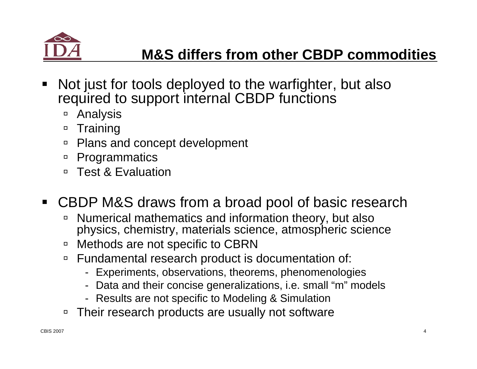

- $\blacksquare$  Not just for tools deployed to the warfighter, but also required to support internal CBDP functions
	- □ Analysis
	- □ Training
	- $\Box$ Plans and concept development
	- □ Programmatics
	- □ Test & Evaluation
- CBDP M&S draws from a broad pool of basic research
	- $\Box$  Numerical mathematics and information theory, but also physics, chemistry, materials science, atmospheric science
	- □ Methods are not specific to CBRN
	- □ Fundamental research product is documentation of:
		- Experiments, observations, theorems, phenomenologies
		- Data and their concise generalizations, i.e. small "m" models
		- Results are not specific to Modeling & Simulation
	- □ Their research products are usually not software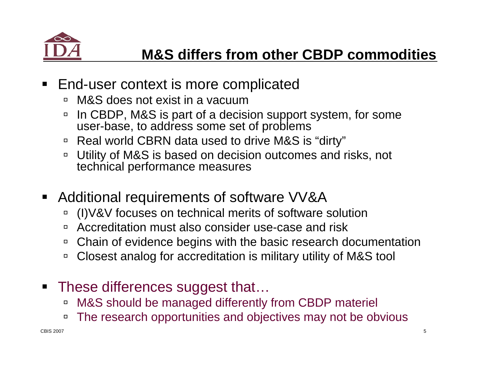

- $\blacksquare$  End-user context is more complicated
	- □ M&S does not exist in a vacuum
	- $\Box$  In CBDP, M&S is part of a decision support system, for some user-base, to address some set of problems
	- $\,$   $\,$  Real world CBRN data used to drive M&S is "dirty"
	- □ Utility of M&S is based on decision outcomes and risks, not technical performance measures
- $\blacksquare$  Additional requirements of software VV&A
	- $\Box$ (I)V&V focuses on technical merits of software solution
	- $\Box$ Accreditation must also consider use-case and risk
	- □ Chain of evidence begins with the basic research documentation
	- □ Closest analog for accreditation is military utility of M&S tool
- **These differences suggest that...** 
	- □ M&S should be managed differently from CBDP materiel
	- $\Box$ The research opportunities and objectives may not be obvious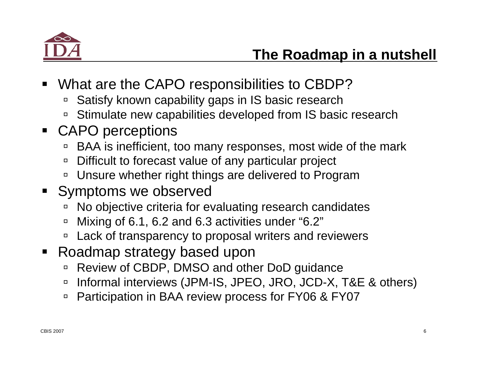

- $\blacksquare$  What are the CAPO responsibilities to CBDP?
	- □ Satisfy known capability gaps in IS basic research
	- $\,$  Stimulate new capabilities developed from IS basic research
- CAPO perceptions
	- □ BAA is inefficient, too many responses, most wide of the mark
	- $\Box$ Difficult to forecast value of any particular project
	- □ Unsure whether right things are delivered to Program
- **Symptoms we observed** 
	- $\Box$ No objective criteria for evaluating research candidates
	- $\Box$ Mixing of 6.1, 6.2 and 6.3 activities under "6.2"
	- □ Lack of transparency to proposal writers and reviewers
- $\blacksquare$  Roadmap strategy based upon
	- □ Review of CBDP, DMSO and other DoD guidance
	- $\Box$ Informal interviews (JPM-IS, JPEO, JRO, JCD-X, T&E & others)
	- $\Box$ Participation in BAA review process for FY06 & FY07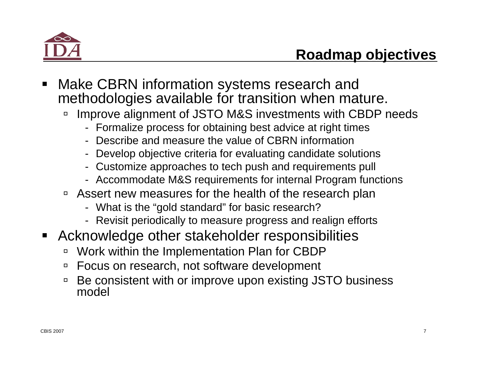

- $\blacksquare$  Make CBRN information systems research and methodologies available for transition when mature.
	- $\Box$  Improve alignment of JSTO M&S investments with CBDP needs
		- Formalize process for obtaining best advice at right times
		- Describe and measure the value of CBRN information
		- Develop objective criteria for evaluating candidate solutions
		- Customize approaches to tech push and requirements pull
		- Accommodate M&S requirements for internal Program functions
	- □ Assert new measures for the health of the research plan
		- What is the "gold standard" for basic research?
		- Revisit periodically to measure progress and realign efforts
- $\blacksquare$  Acknowledge other stakeholder responsibilities
	- $\Box$ Work within the Implementation Plan for CBDP
	- □ Focus on research, not software development
	- □ Be consistent with or improve upon existing JSTO business model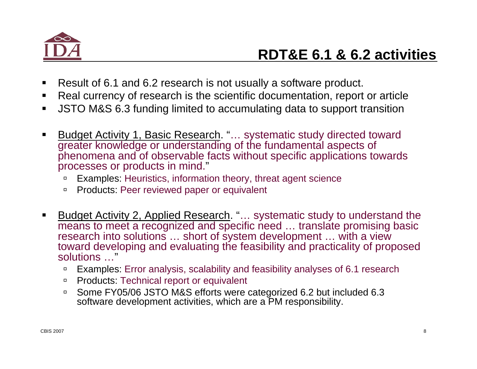

- п Result of 6.1 and 6.2 research is not usually a software product.
- п Real currency of research is the scientific documentation, report or article
- п JSTO M&S 6.3 funding limited to accumulating data to support transition
- Budget Activity 1, Basic Research. "… systematic study directed toward greater knowledge or understanding of the fundamental aspects of phenomena and of observable facts without specific applications towards processes or products in mind."
	- $\Box$ Examples: Heuristics, information theory, threat agent science
	- □ Products: Peer reviewed paper or equivalent
- $\blacksquare$  Budget Activity 2, Applied Research. "… systematic study to understand the means to meet a recognized and specific need ... translate promising basic research into solutions ... short of system development ... with a view toward developing and evaluating the feasibility and practicality of proposed solutions …"
	- $\Box$ Examples: Error analysis, scalability and feasibility analyses of 6.1 research
	- □ Products: Technical report or equivalent
	- □ Some FY05/06 JSTO M&S efforts were categorized 6.2 but included 6.3 software development activities, which are a PM responsibility.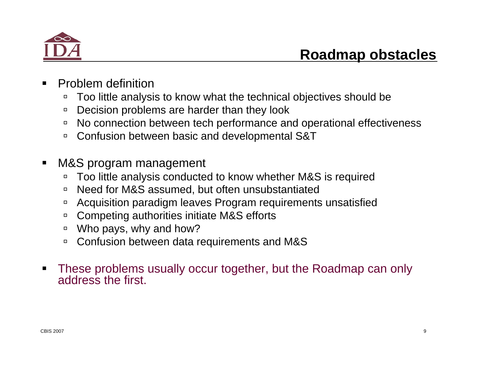

- Problem definition
	- $\Box$ Too little analysis to know what the technical objectives should be
	- $\Box$ Decision problems are harder than they look
	- □ No connection between tech performance and operational effectiveness
	- □ Confusion between basic and developmental S&T
- $\blacksquare$  M&S program management
	- $\Box$ Too little analysis conducted to know whether M&S is required
	- $\Box$ Need for M&S assumed, but often unsubstantiated
	- □ Acquisition paradigm leaves Program requirements unsatisfied
	- □ Competing authorities initiate M&S efforts
	- □ Who pays, why and how?
	- $\Box$ Confusion between data requirements and M&S
- $\blacksquare$  These problems usually occur together, but the Roadmap can only address the first.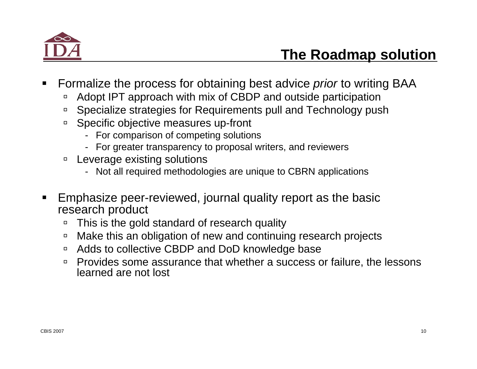

- Formalize the process for obtaining best advice *prior* to writing BAA
	- $\Box$ Adopt IPT approach with mix of CBDP and outside participation
	- □ Specialize strategies for Requirements pull and Technology push
	- □ Specific objective measures up-front
		- For comparison of competing solutions
		- For greater transparency to proposal writers, and reviewers
	- □ Leverage existing solutions
		- Not all required methodologies are unique to CBRN applications
- Emphasize peer-reviewed, journal quality report as the basic research product
	- $\Box$ This is the gold standard of research quality
	- $\Box$ Make this an obligation of new and continuing research projects
	- □ Adds to collective CBDP and DoD knowledge base
	- $\Box$  Provides some assurance that whether a success or failure, the lessons learned are not lost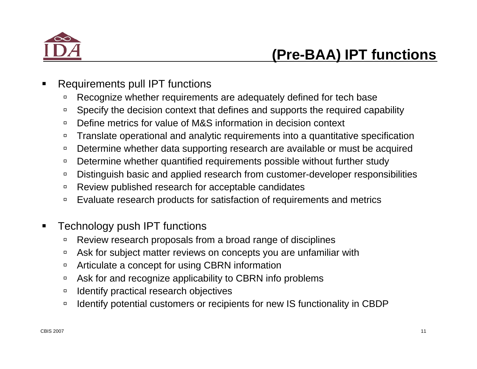

- Requirements pull IPT functions
	- àRecognize whether requirements are adequately defined for tech base
	- àSpecify the decision context that defines and supports the required capability
	- $\Box$ Define metrics for value of M&S information in decision context
	- $\Box$ Translate operational and analytic requirements into a quantitative specification
	- $\Box$ Determine whether data supporting research are available or must be acquired
	- àDetermine whether quantified requirements possible without further study
	- $\Box$ Distinguish basic and applied research from customer-developer responsibilities
	- àReview published research for acceptable candidates
	- $\Box$ Evaluate research products for satisfaction of requirements and metrics
- $\blacksquare$  Technology push IPT functions
	- $\Box$ Review research proposals from a broad range of disciplines
	- àAsk for subject matter reviews on concepts you are unfamiliar with
	- $\Box$ Articulate a concept for using CBRN information
	- $\Box$ Ask for and recognize applicability to CBRN info problems
	- $\Box$ Identify practical research objectives
	- $\Box$ Identify potential customers or recipients for new IS functionality in CBDP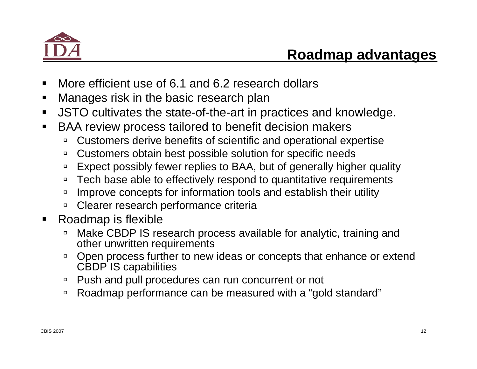

- $\blacksquare$ More efficient use of 6.1 and 6.2 research dollars
- $\blacksquare$ Manages risk in the basic research plan
- $\blacksquare$ JSTO cultivates the state-of-the-art in practices and knowledge.
- $\blacksquare$  BAA review process tailored to benefit decision makers
	- $\Box$ Customers derive benefits of scientific and operational expertise
	- $\Box$ Customers obtain best possible solution for specific needs
	- $\Box$ Expect possibly fewer replies to BAA, but of generally higher quality
	- $\Box$ Tech base able to effectively respond to quantitative requirements
	- $\Box$ Improve concepts for information tools and establish their utility
	- $\Box$ Clearer research performance criteria
- $\blacksquare$  Roadmap is flexible
	- à Make CBDP IS research process available for analytic, training and other unwritten requirements
	- $\Box$  Open process further to new ideas or concepts that enhance or extend CBDP IS capabilities
	- □ Push and pull procedures can run concurrent or not
	- □ Roadmap performance can be measured with a "gold standard"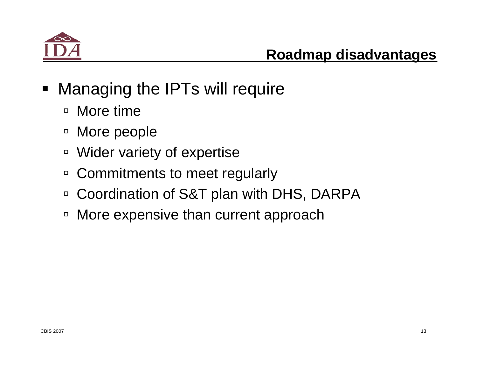

- **Managing the IPTs will require** 
	- □ More time
	- □ More people
	- □ Wider variety of expertise
	- □ Commitments to meet regularly
	- □ Coordination of S&T plan with DHS, DARPA
	- □ More expensive than current approach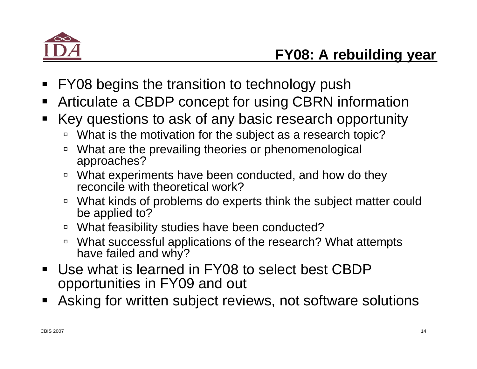

- $\blacksquare$ FY08 begins the transition to technology push
- $\blacksquare$ Articulate a CBDP concept for using CBRN information
- $\blacksquare$  Key questions to ask of any basic research opportunity
	- □ What is the motivation for the subject as a research topic?
	- $\Box$  What are the prevailing theories or phenomenological approaches?
	- $\Box$  What experiments have been conducted, and how do they reconcile with theoretical work?
	- □ What kinds of problems do experts think the subject matter could be applied to?
	- □ What feasibility studies have been conducted?
	- □ What successful applications of the research? What attempts have failed and why?
- $\blacksquare$  Use what is learned in FY08 to select best CBDP opportunities in FY09 and out
- $\blacksquare$ Asking for written subject reviews, not software solutions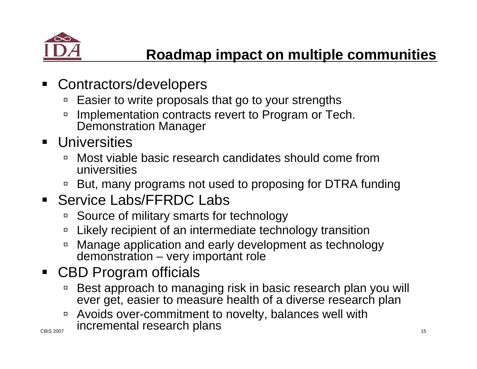

- $\blacksquare$  Contractors/developers
	- $\Box$ Easier to write proposals that go to your strengths
	- $\Box$  Implementation contracts revert to Program or Tech. Demonstration Manager
- **Universities** 
	- $\Box$  Most viable basic research candidates should come from universities
	- □ But, many programs not used to proposing for DTRA funding

## **Service Labs/FFRDC Labs**

- □ Source of military smarts for technology
- $\Box$ Likely recipient of an intermediate technology transition
- $\Box$  Manage application and early development as technology demonstration – very important role

## CBD Program officials

- $\Box$  Best approach to managing risk in basic research plan you will ever get, easier to measure health of a diverse research plan
- $\frac{1}{2}$  incremental research plans  $\Box$ Avoids over-commitment to novelty, balances well with